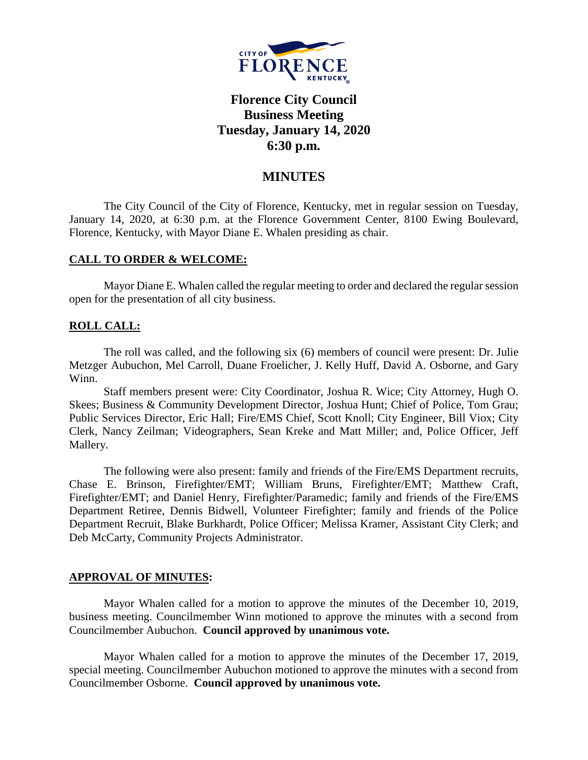

# **Florence City Council Business Meeting Tuesday, January 14, 2020 6:30 p.m.**

# **MINUTES**

The City Council of the City of Florence, Kentucky, met in regular session on Tuesday, January 14, 2020, at 6:30 p.m. at the Florence Government Center, 8100 Ewing Boulevard, Florence, Kentucky, with Mayor Diane E. Whalen presiding as chair.

### **CALL TO ORDER & WELCOME:**

Mayor Diane E. Whalen called the regular meeting to order and declared the regular session open for the presentation of all city business.

# **ROLL CALL:**

The roll was called, and the following six (6) members of council were present: Dr. Julie Metzger Aubuchon, Mel Carroll, Duane Froelicher, J. Kelly Huff, David A. Osborne, and Gary Winn.

Staff members present were: City Coordinator, Joshua R. Wice; City Attorney, Hugh O. Skees; Business & Community Development Director, Joshua Hunt; Chief of Police, Tom Grau; Public Services Director, Eric Hall; Fire/EMS Chief, Scott Knoll; City Engineer, Bill Viox; City Clerk, Nancy Zeilman; Videographers, Sean Kreke and Matt Miller; and, Police Officer, Jeff Mallery.

The following were also present: family and friends of the Fire/EMS Department recruits, Chase E. Brinson, Firefighter/EMT; William Bruns, Firefighter/EMT; Matthew Craft, Firefighter/EMT; and Daniel Henry, Firefighter/Paramedic; family and friends of the Fire/EMS Department Retiree, Dennis Bidwell, Volunteer Firefighter; family and friends of the Police Department Recruit, Blake Burkhardt, Police Officer; Melissa Kramer, Assistant City Clerk; and Deb McCarty, Community Projects Administrator.

### **APPROVAL OF MINUTES:**

Mayor Whalen called for a motion to approve the minutes of the December 10, 2019, business meeting. Councilmember Winn motioned to approve the minutes with a second from Councilmember Aubuchon. **Council approved by unanimous vote.**

Mayor Whalen called for a motion to approve the minutes of the December 17, 2019, special meeting. Councilmember Aubuchon motioned to approve the minutes with a second from Councilmember Osborne. **Council approved by unanimous vote.**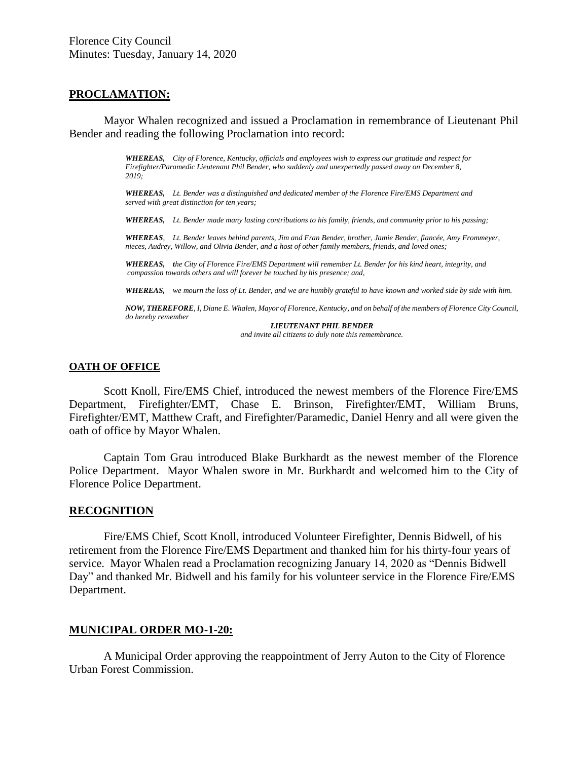#### **PROCLAMATION:**

Mayor Whalen recognized and issued a Proclamation in remembrance of Lieutenant Phil Bender and reading the following Proclamation into record:

> *WHEREAS, City of Florence, Kentucky, officials and employees wish to express our gratitude and respect for Firefighter/Paramedic Lieutenant Phil Bender, who suddenly and unexpectedly passed away on December 8, 2019;*

> *WHEREAS, Lt. Bender was a distinguished and dedicated member of the Florence Fire/EMS Department and served with great distinction for ten years;*

*WHEREAS, Lt. Bender made many lasting contributions to his family, friends, and community prior to his passing;*

*WHEREAS, Lt. Bender leaves behind parents, Jim and Fran Bender, brother, Jamie Bender, fiancée, Amy Frommeyer, nieces, Audrey, Willow, and Olivia Bender, and a host of other family members, friends, and loved ones;*

*WHEREAS, the City of Florence Fire/EMS Department will remember Lt. Bender for his kind heart, integrity, and compassion towards others and will forever be touched by his presence; and,*

*WHEREAS, we mourn the loss of Lt. Bender, and we are humbly grateful to have known and worked side by side with him.*

*NOW, THEREFORE, I, Diane E. Whalen, Mayor of Florence, Kentucky, and on behalf of the members of Florence City Council, do hereby remember*

*LIEUTENANT PHIL BENDER and invite all citizens to duly note this remembrance.*

#### **OATH OF OFFICE**

Scott Knoll, Fire/EMS Chief, introduced the newest members of the Florence Fire/EMS Department, Firefighter/EMT, Chase E. Brinson, Firefighter/EMT, William Bruns, Firefighter/EMT, Matthew Craft, and Firefighter/Paramedic, Daniel Henry and all were given the oath of office by Mayor Whalen.

Captain Tom Grau introduced Blake Burkhardt as the newest member of the Florence Police Department. Mayor Whalen swore in Mr. Burkhardt and welcomed him to the City of Florence Police Department.

#### **RECOGNITION**

Fire/EMS Chief, Scott Knoll, introduced Volunteer Firefighter, Dennis Bidwell, of his retirement from the Florence Fire/EMS Department and thanked him for his thirty-four years of service. Mayor Whalen read a Proclamation recognizing January 14, 2020 as "Dennis Bidwell Day" and thanked Mr. Bidwell and his family for his volunteer service in the Florence Fire/EMS Department.

#### **MUNICIPAL ORDER MO-1-20:**

A Municipal Order approving the reappointment of Jerry Auton to the City of Florence Urban Forest Commission.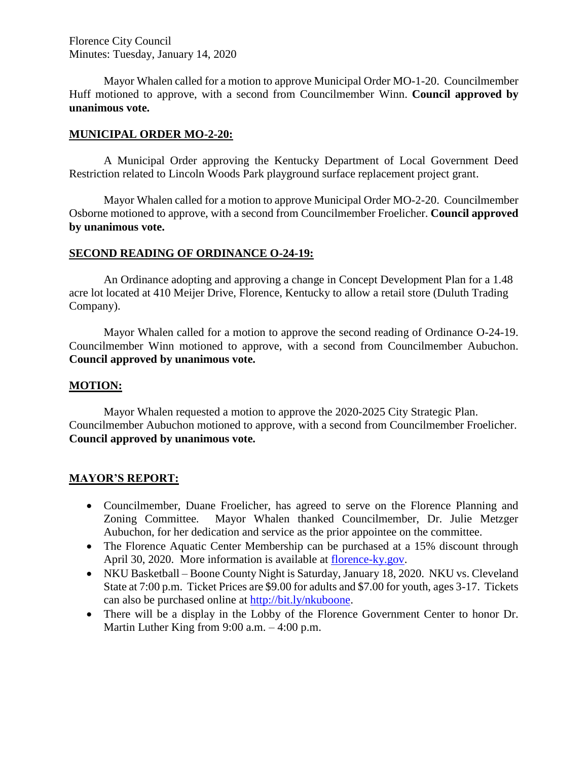Florence City Council Minutes: Tuesday, January 14, 2020

Mayor Whalen called for a motion to approve Municipal Order MO-1-20. Councilmember Huff motioned to approve, with a second from Councilmember Winn. **Council approved by unanimous vote.**

# **MUNICIPAL ORDER MO-2-20:**

A Municipal Order approving the Kentucky Department of Local Government Deed Restriction related to Lincoln Woods Park playground surface replacement project grant.

Mayor Whalen called for a motion to approve Municipal Order MO-2-20. Councilmember Osborne motioned to approve, with a second from Councilmember Froelicher. **Council approved by unanimous vote.**

# **SECOND READING OF ORDINANCE O-24-19:**

An Ordinance adopting and approving a change in Concept Development Plan for a 1.48 acre lot located at 410 Meijer Drive, Florence, Kentucky to allow a retail store (Duluth Trading Company).

Mayor Whalen called for a motion to approve the second reading of Ordinance O-24-19. Councilmember Winn motioned to approve, with a second from Councilmember Aubuchon. **Council approved by unanimous vote.**

# **MOTION:**

Mayor Whalen requested a motion to approve the 2020-2025 City Strategic Plan. Councilmember Aubuchon motioned to approve, with a second from Councilmember Froelicher. **Council approved by unanimous vote.**

# **MAYOR'S REPORT:**

- Councilmember, Duane Froelicher, has agreed to serve on the Florence Planning and Zoning Committee. Mayor Whalen thanked Councilmember, Dr. Julie Metzger Aubuchon, for her dedication and service as the prior appointee on the committee.
- The Florence Aquatic Center Membership can be purchased at a 15% discount through April 30, 2020. More information is available at [florence-ky.gov.](http://www.florence-ky.gov/)
- NKU Basketball Boone County Night is Saturday, January 18, 2020. NKU vs. Cleveland State at 7:00 p.m. Ticket Prices are \$9.00 for adults and \$7.00 for youth, ages 3-17. Tickets can also be purchased online at [http://bit.ly/nkuboone.](http://bit.ly/nkuboone)
- There will be a display in the Lobby of the Florence Government Center to honor Dr. Martin Luther King from 9:00 a.m. – 4:00 p.m.